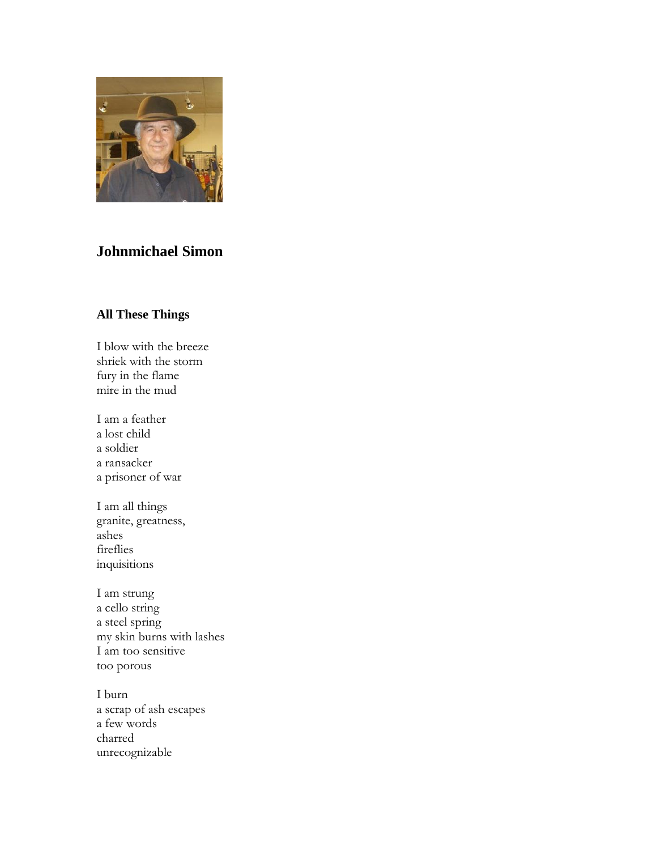

## **Johnmichael Simon**

## **All These Things**

I blow with the breeze shriek with the storm fury in the flame mire in the mud

I am a feather a lost child a soldier a ransacker a prisoner of war

I am all things granite, greatness, ashes fireflies inquisitions

I am strung a cello string a steel spring my skin burns with lashes I am too sensitive too porous

I burn a scrap of ash escapes a few words charred unrecognizable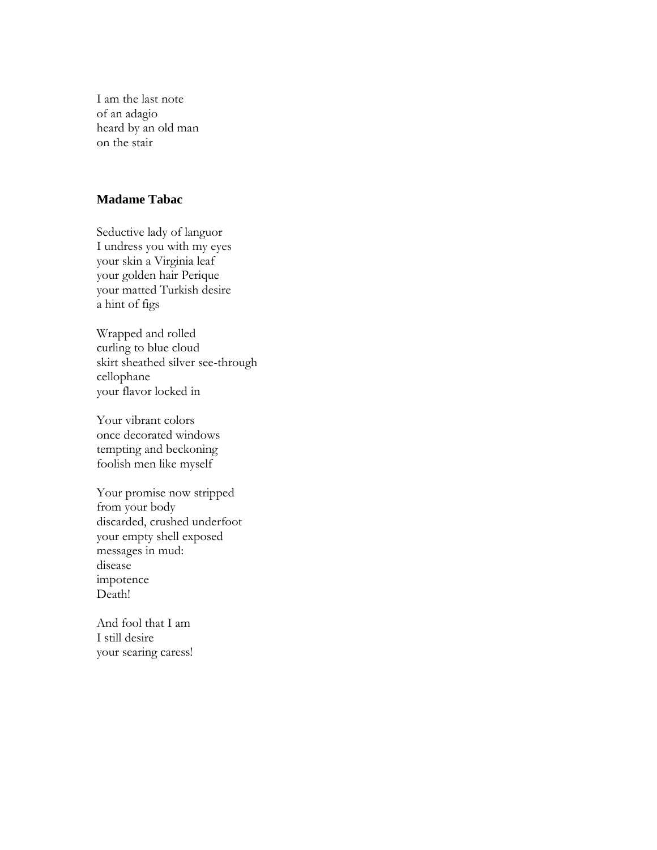I am the last note of an adagio heard by an old man on the stair

## **Madame Tabac**

Seductive lady of languor I undress you with my eyes your skin a Virginia leaf your golden hair Perique your matted Turkish desire a hint of figs

Wrapped and rolled curling to blue cloud skirt sheathed silver see-through cellophane your flavor locked in

Your vibrant colors once decorated windows tempting and beckoning foolish men like myself

Your promise now stripped from your body discarded, crushed underfoot your empty shell exposed messages in mud: disease impotence Death!

And fool that I am I still desire your searing caress!